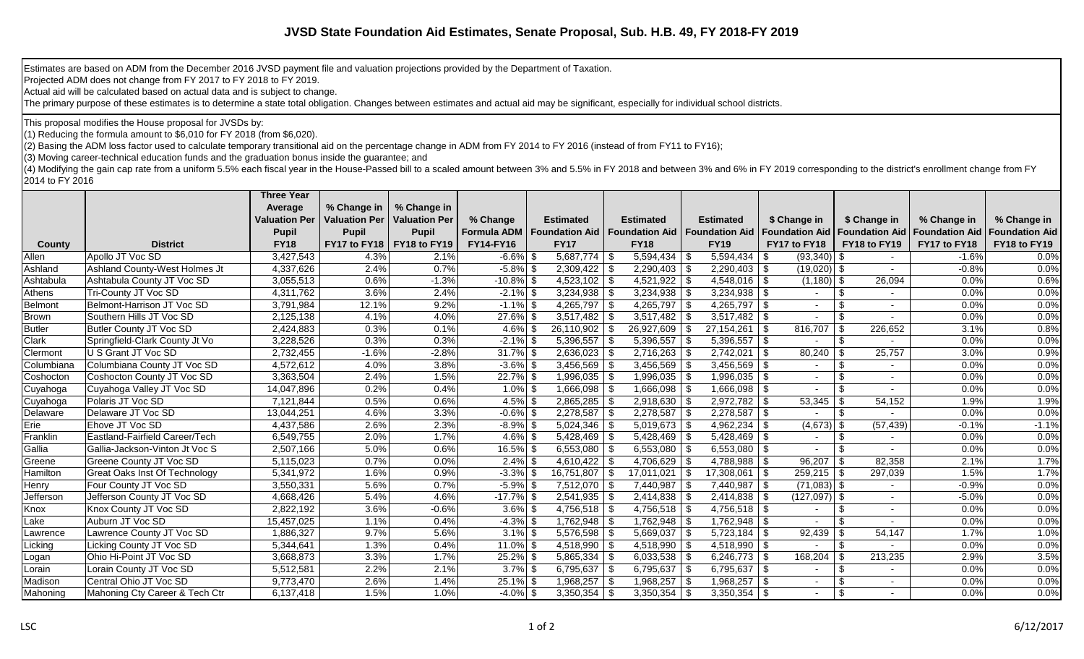## **JVSD State Foundation Aid Estimates, Senate Proposal, Sub. H.B. 49, FY 2018-FY 2019**

Estimates are based on ADM from the December 2016 JVSD payment file and valuation projections provided by the Department of Taxation.

Projected ADM does not change from FY 2017 to FY 2018 to FY 2019.

Actual aid will be calculated based on actual data and is subject to change.

The primary purpose of these estimates is to determine a state total obligation. Changes between estimates and actual aid may be significant, especially for individual school districts.

This proposal modifies the House proposal for JVSDs by:

(1) Reducing the formula amount to \$6,010 for FY 2018 (from \$6,020).

(2) Basing the ADM loss factor used to calculate temporary transitional aid on the percentage change in ADM from FY 2014 to FY 2016 (instead of from FY11 to FY16);

(3) Moving career-technical education funds and the graduation bonus inside the guarantee; and

(4) Modifying the gain cap rate from a uniform 5.5% each fiscal year in the House-Passed bill to a scaled amount between 3% and 5.5% in FY 2018 and between 3% and 6% in FY 2019 corresponding to the district's enrollment ch 2014 to FY 2016

|                |                                      | <b>Three Year</b>    |                             |                      |              |                                                        |                    |                         |                                      |                          |                          |                                        |                       |
|----------------|--------------------------------------|----------------------|-----------------------------|----------------------|--------------|--------------------------------------------------------|--------------------|-------------------------|--------------------------------------|--------------------------|--------------------------|----------------------------------------|-----------------------|
|                |                                      | Average              | % Change in                 | % Change in          |              |                                                        |                    |                         |                                      |                          |                          |                                        |                       |
|                |                                      | <b>Valuation Per</b> | <b>Valuation Per</b>        | <b>Valuation Per</b> | % Change     | <b>Estimated</b>                                       | <b>Estimated</b>   | <b>Estimated</b>        | \$ Change in                         |                          | \$ Change in             | % Change in                            | % Change in           |
|                |                                      | <b>Pupil</b>         | <b>Pupil</b>                | <b>Pupil</b>         |              | <b>Formula ADM   Foundation Aid   Foundation Aid  </b> |                    | <b>Foundation Aid</b>   | <b>Foundation Aid</b>                |                          |                          | <b>Foundation Aid   Foundation Aid</b> | <b>Foundation Aid</b> |
| County         | <b>District</b>                      | <b>FY18</b>          | FY17 to FY18   FY18 to FY19 |                      | FY14-FY16    | <b>FY17</b>                                            | <b>FY18</b>        | <b>FY19</b>             | FY17 to FY18                         |                          | FY18 to FY19             | FY17 to FY18                           | FY18 to FY19          |
| Allen          | Apollo JT Voc SD                     | 3,427,543            | 4.3%                        | 2.1%                 | $-6.6\%$ \$  | $5,687,774$ \\$                                        | $5,594,434$ \ \ \$ | 5,594,434               | - \$<br>$(93,340)$ \$                |                          |                          | $-1.6%$                                | 0.0%                  |
| Ashland        | Ashland County-West Holmes Jt        | 4,337,626            | 2.4%                        | 0.7%                 | $-5.8\%$     |                                                        |                    |                         | $(19,020)$ \$                        |                          |                          | $-0.8%$                                | 0.0%                  |
| Ashtabula      | Ashtabula County JT Voc SD           | 3,055,513            | 0.6%                        | $-1.3%$              | $-10.8\%$ \$ | $4,523,102$ \\$                                        | $4,521,922$ \ \$   | $4,548,016$ \\$         | $(1,180)$ \$                         |                          | 26,094                   | 0.0%                                   | 0.6%                  |
| Athens         | Tri-County JT Voc SD                 | 4,311,762            | 3.6%                        | 2.4%                 | $-2.1\%$ \$  |                                                        | 3,234,938          |                         |                                      | \$                       |                          | 0.0%                                   | 0.0%                  |
| <b>Belmont</b> | Belmont-Harrison JT Voc SD           | 3,791,984            | 12.1%                       | 9.2%                 | $-1.1\%$ \$  | $4,265,797$ \\$                                        | 4,265,797   \$     | 4,265,797 $\frac{1}{3}$ | $\sim$                               | $\overline{\mathcal{L}}$ | $\overline{\phantom{a}}$ | 0.0%                                   | 0.0%                  |
| <b>Brown</b>   | Southern Hills JT Voc SD             | 2,125,138            | 4.1%                        | 4.0%                 | 27.6% \$     | $3,517,482$ \\$                                        |                    |                         |                                      | \$                       |                          | 0.0%                                   | 0.0%                  |
| <b>Butler</b>  | Butler County JT Voc SD              | 2,424,883            | 0.3%                        | 0.1%                 | $4.6\%$ \$   | $26,110,902$ \\$                                       | 26,927,609         | 27,154,261              | l \$<br>816,707                      | - \$                     | 226,652                  | 3.1%                                   | 0.8%                  |
| Clark          | Springfield-Clark County Jt Vo       | 3,228,526            | 0.3%                        | 0.3%                 | $-2.1\%$ \$  | $5,396,557$ \\$                                        | 5,396,557          | $5,396,557$ \\$         |                                      | \$                       |                          | 0.0%                                   | 0.0%                  |
| Clermont       | U S Grant JT Voc SD                  | 2,732,455            | $-1.6%$                     | $-2.8%$              | $31.7\%$ \$  | $2,636,023$ \$                                         |                    | 2,742,021               | -\$<br>80,240                        | \$                       | 25,757                   | 3.0%                                   | 0.9%                  |
| Columbiana     | Columbiana County JT Voc SD          | 4,572,612            | 4.0%                        | 3.8%                 | $-3.6\%$ \$  | $3,456,569$ \\$                                        | 3,456,569          | $3,456,569$ \$          |                                      | \$                       |                          | 0.0%                                   | 0.0%                  |
| Coshocton      | Coshocton County JT Voc SD           | 3,363,504            | 2.4%                        | 1.5%                 | $22.7\%$ \$  | $1,996,035$ \\$                                        | 1,996,035          | $1,996,035$ \$          | $\sim$                               | \$                       |                          | 0.0%                                   | 0.0%                  |
| Cuyahoga       | Cuyahoga Valley JT Voc SD            | 14,047,896           | 0.2%                        | 0.4%                 | $1.0\%$ \$   | $1,666,098$ \ \$                                       | 1,666,098          | $1,666,098$ \ \$        | $\overline{\phantom{a}}$             | \$                       |                          | 0.0%                                   | 0.0%                  |
| Cuyahoga       | Polaris JT Voc SD                    | 7,121,844            | 0.5%                        | 0.6%                 | $4.5\%$ \$   | $2,865,285$ \\$                                        | 2,918,630          | 2,972,782               | . \$<br>53,345                       | \$                       | 54,152                   | 1.9%                                   | 1.9%                  |
| Delaware       | Delaware JT Voc SD                   | 13,044,251           | 4.6%                        | 3.3%                 | $-0.6\%$ \$  |                                                        | $2,278,587$ \ \ \$ | 2,278,587               | $\vert$ \$                           | \$                       |                          | 0.0%                                   | 0.0%                  |
| Erie           | Ehove JT Voc SD                      | 4,437,586            | 2.6%                        | 2.3%                 | $-8.9\%$ \$  |                                                        | $5,019,673$   \$   | 4,962,234               | $(4,673)$ \$<br>l \$                 |                          | (57, 439)                | $-0.1%$                                | $-1.1%$               |
| Franklin       | Eastland-Fairfield Career/Tech       | 6,549,755            | 2.0%                        | 1.7%                 | $4.6\%$ \$   | $5,428,469$ \ \$                                       | $5,428,469$ \ \$   | $5,428,469$ \ \$        | $\overline{\phantom{a}}$             | \$                       |                          | 0.0%                                   | 0.0%                  |
| Gallia         | Gallia-Jackson-Vinton Jt Voc S       | 2,507,166            | 5.0%                        | 0.6%                 | 16.5% \$     | $6,553,080$   \$                                       | 6,553,080          | $6,553,080$   \$        |                                      | \$                       |                          | 0.0%                                   | 0.0%                  |
| Greene         | <b>Greene County JT Voc SD</b>       | 5,115,023            | 0.7%                        | 0.0%                 | $2.4\%$ \$   |                                                        | 4,706,629          | $4,788,988$ \$          | 96,207                               | \$                       | 82,358                   | 2.1%                                   | 1.7%                  |
| Hamilton       | <b>Great Oaks Inst Of Technology</b> | 5,341,972            | 1.6%                        | 0.9%                 | $-3.3\%$ \$  | $16,751,807$ \\$                                       | $17,011,021$ \ \$  | 17,308,061              | $\sqrt{3}$<br>$259,215$ \$           |                          | 297,039                  | 1.5%                                   | 1.7%                  |
| Henry          | Four County JT Voc SD                | 3,550,331            | 5.6%                        | 0.7%                 | $-5.9\%$ \$  | $7,512,070$ \ \$                                       | $7,440,987$ \ \ \$ | 7,440,987               | $(71,083)$ \$<br>$\overline{5}$      |                          |                          | $-0.9%$                                | 0.0%                  |
| Jefferson      | Jefferson County JT Voc SD           | 4,668,426            | 5.4%                        | 4.6%                 | $-17.7\%$ \$ | $2,541,935$ \\$                                        | 2,414,838          |                         | $(127,097)$ \$                       |                          |                          | $-5.0%$                                | 0.0%                  |
| Knox           | Knox County JT Voc SD                | 2,822,192            | 3.6%                        | $-0.6%$              | $3.6\%$ \$   | $4,756,518$ \\$                                        | 4,756,518          | $4,756,518$ \\$         |                                      |                          |                          | 0.0%                                   | 0.0%                  |
| Lake           | Auburn JT Voc SD                     | 15,457,025           | 1.1%                        | 0.4%                 | $-4.3\%$ \$  | $1,762,948$   \$                                       | $1,762,948$ \ \$   |                         |                                      | \$                       |                          | 0.0%                                   | 0.0%                  |
| Lawrence       | Lawrence County JT Voc SD            | 1,886,327            | 9.7%                        | 5.6%                 | $3.1\%$ \$   | $5,576,598$ \\$                                        | 5,669,037          | 5,723,184               | -\$<br>92,439                        |                          | 54,147                   | 1.7%                                   | 1.0%                  |
| Licking        | Licking County JT Voc SD             | 5,344,641            | 1.3%                        | 0.4%                 | $11.0\%$ \$  | $4,518,990$ \\$                                        | $4,518,990$ \\$    | $4,518,990$ \\$         |                                      | $\mathfrak{L}$           |                          | 0.0%                                   | 0.0%                  |
| Logan          | Ohio Hi-Point JT Voc SD              | 3,668,873            | 3.3%                        | 1.7%                 | $25.2\%$ \$  | $5,865,334$ \\$                                        | $6,033,538$ \ \ \$ | 6,246,773   \$          | 168,204                              |                          | 213,235                  | 2.9%                                   | 3.5%                  |
| Lorain         | Lorain County JT Voc SD              | 5,512,581            | 2.2%                        | 2.1%                 | $3.7\%$ \$   | $6,795,637$ \$                                         | 6,795,637          | 6,795,637               | $\sqrt{3}$                           | \$                       |                          | 0.0%                                   | 0.0%                  |
| Madison        | Central Ohio JT Voc SD               | 9,773,470            | 2.6%                        | 1.4%                 | $25.1\%$ \$  | $1,968,257$ \ \$                                       | 1,968,257          | 1,968,257               | <b>S</b><br>$\overline{\phantom{a}}$ | $\mathfrak{L}$           |                          | 0.0%                                   | 0.0%                  |
| Mahoning       | Mahoning Cty Career & Tech Ctr       | 6,137,418            | 1.5%                        | 1.0%                 | $-4.0\%$ \$  | $3,350,354$   \$                                       | 3,350,354          | $3,350,354$ \$          |                                      | $\overline{\mathcal{S}}$ |                          | 0.0%                                   | 0.0%                  |